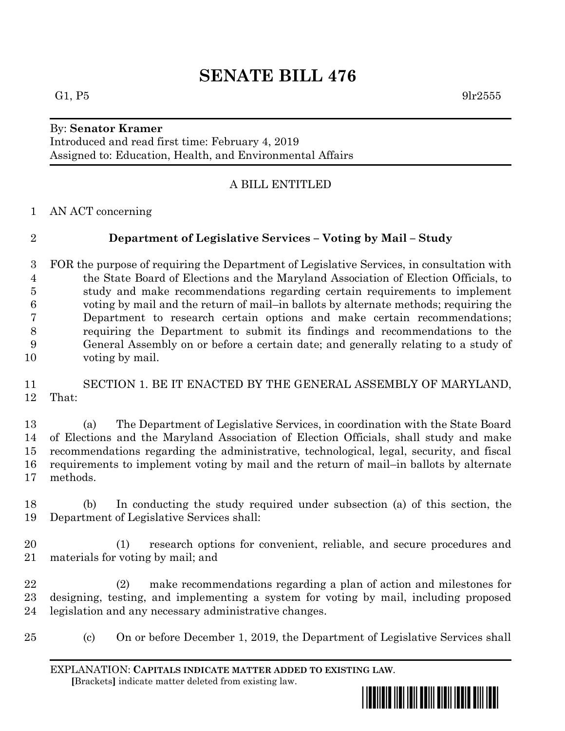# **SENATE BILL 476**

## By: **Senator Kramer**

Introduced and read first time: February 4, 2019 Assigned to: Education, Health, and Environmental Affairs

### A BILL ENTITLED

AN ACT concerning

# **Department of Legislative Services – Voting by Mail – Study**

 FOR the purpose of requiring the Department of Legislative Services, in consultation with the State Board of Elections and the Maryland Association of Election Officials, to study and make recommendations regarding certain requirements to implement voting by mail and the return of mail–in ballots by alternate methods; requiring the Department to research certain options and make certain recommendations; requiring the Department to submit its findings and recommendations to the General Assembly on or before a certain date; and generally relating to a study of voting by mail.

 SECTION 1. BE IT ENACTED BY THE GENERAL ASSEMBLY OF MARYLAND, That:

 (a) The Department of Legislative Services, in coordination with the State Board of Elections and the Maryland Association of Election Officials, shall study and make recommendations regarding the administrative, technological, legal, security, and fiscal requirements to implement voting by mail and the return of mail–in ballots by alternate methods.

 (b) In conducting the study required under subsection (a) of this section, the Department of Legislative Services shall:

 (1) research options for convenient, reliable, and secure procedures and materials for voting by mail; and

 (2) make recommendations regarding a plan of action and milestones for designing, testing, and implementing a system for voting by mail, including proposed legislation and any necessary administrative changes.

(c) On or before December 1, 2019, the Department of Legislative Services shall

EXPLANATION: **CAPITALS INDICATE MATTER ADDED TO EXISTING LAW**.  **[**Brackets**]** indicate matter deleted from existing law.